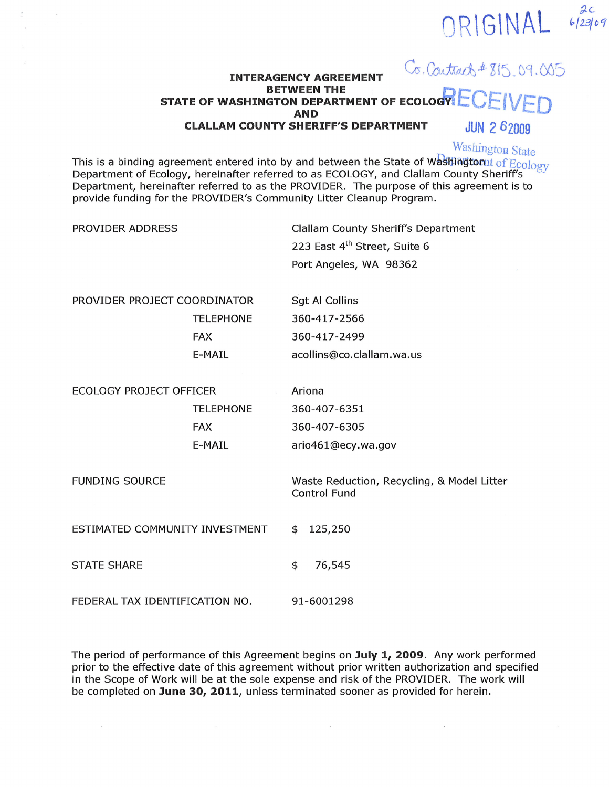#### Co. Contract # 815, 09.005 **INTERAGENCY AGREEMENT BETWEEN THE** STATE OF WASHINGTON DEPARTMENT OF ECOLOGY **AND JUN 2 62009 CLALLAM COUNTY SHERIFF'S DEPARTMENT**

**Washington State** 

ORIGINAL

 $2c$ <br>6/23/09

This is a binding agreement entered into by and between the State of Washington of Ecology Department of Ecology, hereinafter referred to as ECOLOGY, and Clallam County Sheriff's Department, hereinafter referred to as the PROVIDER. The purpose of this agreement is to provide funding for the PROVIDER's Community Litter Cleanup Program.

| PROVIDER ADDRESS               |                  | <b>Clallam County Sheriff's Department</b> |  |  |
|--------------------------------|------------------|--------------------------------------------|--|--|
|                                |                  | 223 East 4 <sup>th</sup> Street, Suite 6   |  |  |
|                                |                  | Port Angeles, WA 98362                     |  |  |
|                                |                  |                                            |  |  |
| PROVIDER PROJECT COORDINATOR   |                  | <b>Sgt Al Collins</b>                      |  |  |
|                                | <b>TELEPHONE</b> | 360-417-2566                               |  |  |
|                                | <b>FAX</b>       | 360-417-2499                               |  |  |
|                                | E-MAIL           | acollins@co.clallam.wa.us                  |  |  |
|                                |                  |                                            |  |  |
| <b>ECOLOGY PROJECT OFFICER</b> |                  | Ariona                                     |  |  |
|                                | <b>TELEPHONE</b> | 360-407-6351                               |  |  |
|                                | <b>FAX</b>       | 360-407-6305                               |  |  |
|                                | E-MAIL           | ario461@ecy.wa.gov                         |  |  |
|                                |                  |                                            |  |  |
| <b>FUNDING SOURCE</b>          |                  | Waste Reduction, Recycling, & Model Litter |  |  |
|                                |                  | <b>Control Fund</b>                        |  |  |
| ESTIMATED COMMUNITY INVESTMENT |                  |                                            |  |  |
|                                |                  | 125,250<br>\$                              |  |  |
| <b>STATE SHARE</b>             |                  | \$<br>76,545                               |  |  |
|                                |                  |                                            |  |  |
| FEDERAL TAX IDENTIFICATION NO. |                  | 91-6001298                                 |  |  |
|                                |                  |                                            |  |  |

The period of performance of this Agreement begins on July 1, 2009. Any work performed prior to the effective date of this agreement without prior written authorization and specified in the Scope of Work will be at the sole expense and risk of the PROVIDER. The work will be completed on June 30, 2011, unless terminated sooner as provided for herein.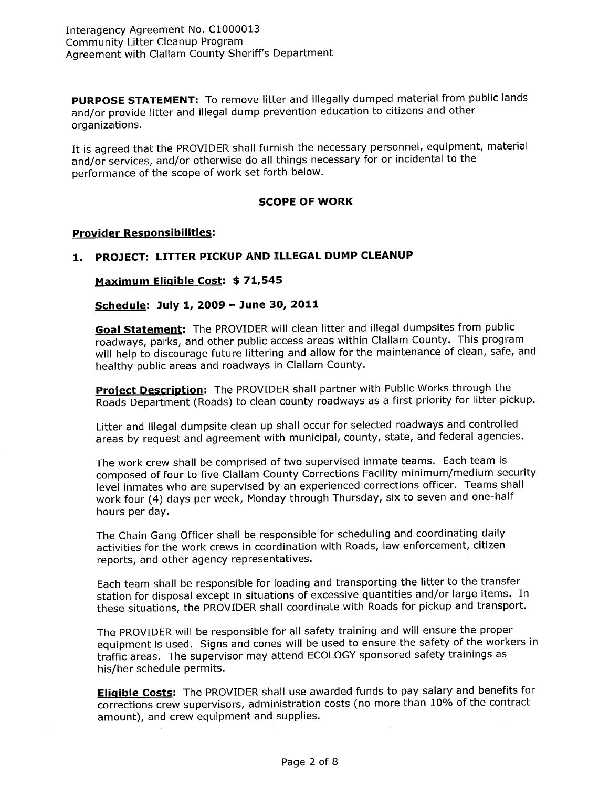PURPOSE STATEMENT: To remove litter and illegally dumped material from public lands and/or provide litter and illegal dump prevention education to citizens and other organizations,

It is agreed that the PROVIDER shall furnish the necessary personnel, equipment, material and/or services, and/or otherwise do all things necessary for or incidental to the performance of the scope of work set forth below.

### SCOPE OF WORK

#### Provider Responsibilities:

# 1. PROJECT: LITTER PICKUP AND ILLEGAL DUMP CLEANUP

Maximum Eligible Cost: \$71,545

Schedule: July L, 2OOg - June 30, 2011

Goal Statement: The PROVIDER will clean litter and illegal dumpsites from public roadways, parks, and other public access areas within Clallam County. This program will help to discourage future littering and allow for the maintenance of clean, safe, and healthy public areas and roadways in Clallam County.

Project Description: The PROVIDER shall partner with Public Works through the Roads Department (Roads) to clean county roadways as a first priority for litter pickup.

Litter and illegal dumpsite clean up shall occur for selected roadways and controlled areas by request and agreement with municipal, county, state, and federal agencies.

The work crew shall be comprised of two supervised inmate teams. Each team is composed of four to five Clallam County Corrections Facility minimum/medium security level inmates who are supervised by an experienced corrections officer. Teams shall work four (4) days per week, Monday through Thursday, six to seven and one-half hours per day,

The Chain Gang Officer shall be responsible for scheduling and coordinating daily activities for the work crews in coordination with Roads, law enforcement, citizen reports, and other agency representatives.

Each team shall be responsible for loading and transporting the litter to the transfer station for disposal except in situations of excessive quantities and/or large items. In these situations, the PROVIDER shall coordinate with Roads for pickup and transport.

The pROVIDER will be responsible for all safety training and will ensure the proper equipment is used. Signs and cones will be used to ensure the safety of the workers in traffic areas. The supervisor may attend ECOLOGY sponsored safety trainings as his/her schedule permits.

Eligible Costs: The PROVIDER shall use awarded funds to pay salary and benefits for corrections crew supervisors, administration costs (no more than 10% of the contract amount), and crew equipment and supplies.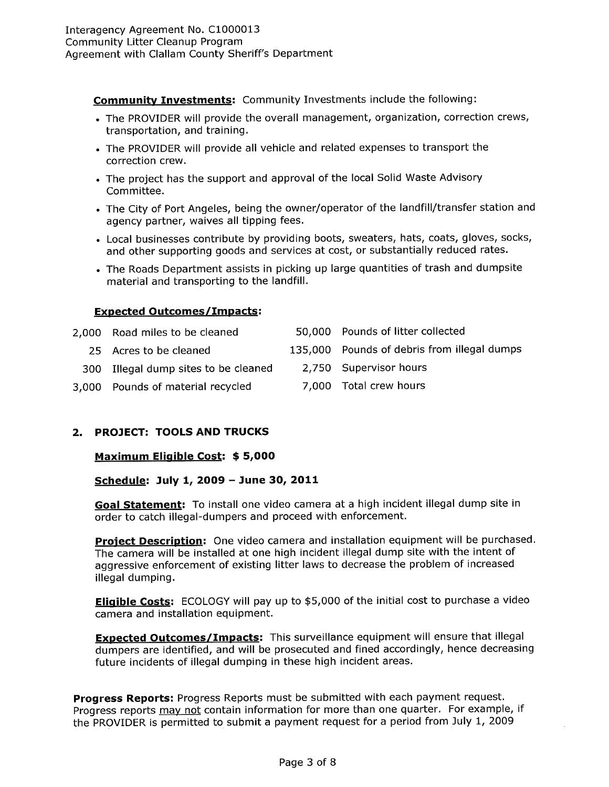Community Investments: Community Investments include the following:

- . The PROVIDER will provide the overall management, organization, correction crews, transportation, and training.
- . The PROVIDER will provide all vehicle and related expenses to transport the correction crew.
- . The project has the support and approval of the local Solid Waste Advisory Committee.
- . The City of Port Angeles, being the owner/operator of the landfill/transfer station and agency partner, waives all tipping fees.
- . Local businesses contribute by providing boots, sweaters, hats, coats, gloves, socks, and other supporting goods and services at cost, or substantially reduced rates.
- . The Roads Department assists in picking up large quantities of trash and dumpsite material and transporting to the landfill.

# Exoected Outcomes/Impacts:

| 2,000 Road miles to be cleaned       | 50,000 Pounds of litter collected           |  |
|--------------------------------------|---------------------------------------------|--|
| 25 Acres to be cleaned               | 135,000 Pounds of debris from illegal dumps |  |
| 300 Illegal dump sites to be cleaned | 2,750 Supervisor hours                      |  |
| 3,000 Pounds of material recycled    | 7,000 Total crew hours                      |  |

# 2. PROJECT: TOOLS AND TRUCKS

Maximum Eligible Cost: \$5,000

Schedule: July 1, 2OO9 - June 30, 2011

Goal Statement: To install one video camera at a high incident illegal dump site in order to catch illegal-dumpers and proceed with enforcement.

Project Description: One video camera and installation equipment will be purchased. The camera will be installed at one high incident illegal dump site with the intent of aggressive enforcement of existing litter laws to decrease the problem of increased illegal dumping,

Eligible Costs: ECOLOGY will pay up to \$5,000 of the initial cost to purchase a video camera and installation equipment.

**Expected Outcomes/Impacts:** This surveillance equipment will ensure that illegal dumpers are identified, and will be prosecuted and fined accordingly, hence decreasing future incidents of illegal dumping in these high incident areas.

Progress Reports: Progress Reports must be submitted with each payment request. Progress reports may not contain information for more than one quarter. For example, if the PROVIDER is permitted to submit a payment request for a period from July 1, 2009